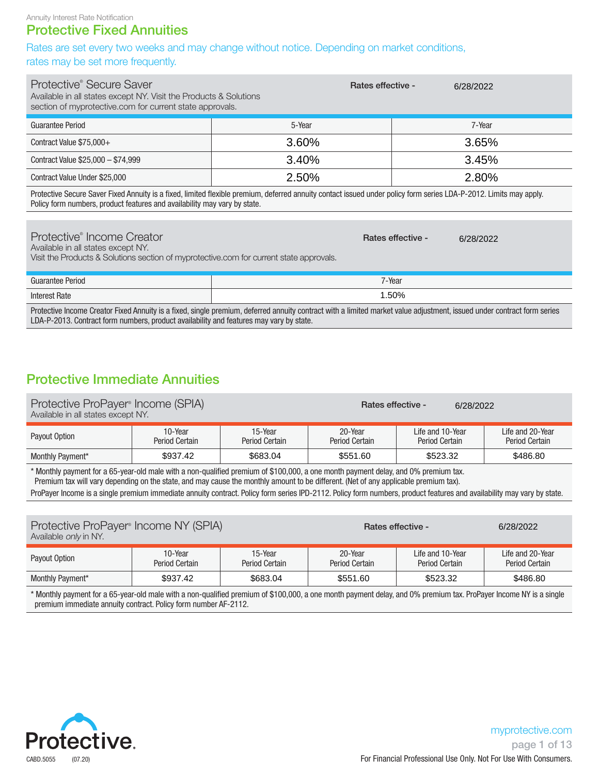### Protective Fixed Annuities

Rates are set every two weeks and may change without notice. Depending on market conditions, rates may be set more frequently.

| Protective <sup>®</sup> Secure Saver<br>Available in all states except NY. Visit the Products & Solutions<br>section of myprotective.com for current state approvals. | <b>Rates effective -</b> | 6/28/2022 |
|-----------------------------------------------------------------------------------------------------------------------------------------------------------------------|--------------------------|-----------|
| Guarantee Period                                                                                                                                                      | 5-Year                   | 7-Year    |
| Contract Value \$75,000+                                                                                                                                              | 3.60%                    | 3.65%     |
| Contract Value \$25,000 - \$74,999                                                                                                                                    | 3.40%                    | 3.45%     |
| Contract Value Under \$25,000                                                                                                                                         | 2.50%                    | 2.80%     |

Protective Secure Saver Fixed Annuity is a fixed, limited flexible premium, deferred annuity contact issued under policy form series LDA-P-2012. Limits may apply. Policy form numbers, product features and availability may vary by state.

| Protective <sup>®</sup> Income Creator<br>Available in all states except NY.<br>Visit the Products & Solutions section of myprotective.com for current state approvals. | <b>Rates effective -</b> | 6/28/2022 |
|-------------------------------------------------------------------------------------------------------------------------------------------------------------------------|--------------------------|-----------|
| Guarantee Period                                                                                                                                                        | 7-Year                   |           |
| <b>Interest Rate</b>                                                                                                                                                    | 1.50%                    |           |

Protective Income Creator Fixed Annuity is a fixed, single premium, deferred annuity contract with a limited market value adjustment, issued under contract form series LDA-P-2013. Contract form numbers, product availability and features may vary by state.

### Protective Immediate Annuities

| Protective ProPayer® Income (SPIA)<br>Available in all states except NY. |                                  |                           | <b>Rates effective -</b>  | 6/28/2022                                 |                                           |  |  |
|--------------------------------------------------------------------------|----------------------------------|---------------------------|---------------------------|-------------------------------------------|-------------------------------------------|--|--|
| Payout Option                                                            | 10-Year<br><b>Period Certain</b> | 15-Year<br>Period Certain | 20-Year<br>Period Certain | Life and 10-Year<br><b>Period Certain</b> | Life and 20-Year<br><b>Period Certain</b> |  |  |
| Monthly Payment*                                                         | \$937.42                         | \$683.04                  | \$551.60                  | \$523.32<br>\$486.80                      |                                           |  |  |

\* Monthly payment for a 65-year-old male with a non-qualified premium of \$100,000, a one month payment delay, and 0% premium tax. Premium tax will vary depending on the state, and may cause the monthly amount to be different. (Net of any applicable premium tax). ProPayer Income is a single premium immediate annuity contract. Policy form series IPD-2112. Policy form numbers, product features and availability may vary by state.

| Protective ProPayer <sup>®</sup> Income NY (SPIA)<br>Available <i>only</i> in NY. |                           |                           |                                  | <b>Rates effective -</b>           | 6/28/2022                          |
|-----------------------------------------------------------------------------------|---------------------------|---------------------------|----------------------------------|------------------------------------|------------------------------------|
| Payout Option                                                                     | 10-Year<br>Period Certain | 15-Year<br>Period Certain | 20-Year<br><b>Period Certain</b> | Life and 10-Year<br>Period Certain | Life and 20-Year<br>Period Certain |
| <b>Monthly Payment*</b>                                                           | \$937.42                  | \$683.04                  | \$551.60                         | \$523.32                           | \$486.80                           |

\* Monthly payment for a 65-year-old male with a non-qualified premium of \$100,000, a one month payment delay, and 0% premium tax. ProPayer Income NY is a single premium immediate annuity contract. Policy form number AF-2112.

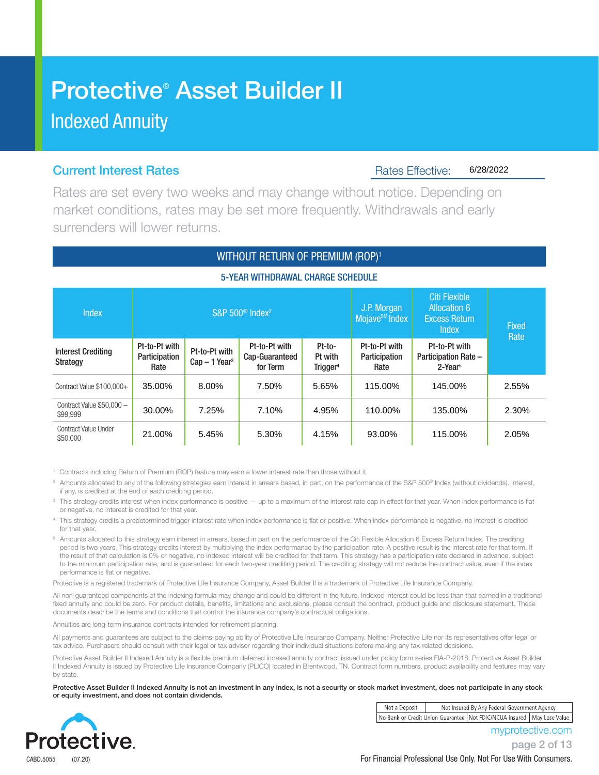## Protective® Asset Builder II Indexed Annuity

### **Current Interest Rates Access Access Access Access Access Access Access Access** Rates Effective:

6/28/2022

Rates are set every two weeks and may change without notice. Depending on market conditions, rates may be set more frequently. Withdrawals and early surrenders will lower returns.

### WITHOUT RETURN OF PREMIUM (ROP)<sup>1</sup>

### 5-YEAR WITHDRAWAL CHARGE SCHEDULE

| <b>Index</b>                            |                                        |                                            | S&P 500 <sup>®</sup> Index <sup>2</sup>     | J.P. Morgan<br>Mojave <sup>SM</sup> Index | <b>Citi Flexible</b><br><b>Allocation 6</b><br><b>Excess Return</b><br>Index | <b>Fixed</b><br>Rate                                          |       |  |
|-----------------------------------------|----------------------------------------|--------------------------------------------|---------------------------------------------|-------------------------------------------|------------------------------------------------------------------------------|---------------------------------------------------------------|-------|--|
| <b>Interest Crediting</b><br>Strategy   | Pt-to-Pt with<br>Participation<br>Rate | Pt-to-Pt with<br>$Cap-1$ Year <sup>3</sup> | Pt-to-Pt with<br>Cap-Guaranteed<br>for Term | Pt-to-<br>Pt with<br>Trigger <sup>4</sup> | Pt-to-Pt with<br>Participation<br>Rate                                       | Pt-to-Pt with<br><b>Participation Rate -</b><br>$2$ -Year $5$ |       |  |
| Contract Value \$100,000+               | 35.00%                                 | 8.00%                                      | 7.50%                                       | 5.65%                                     | 115.00%                                                                      | 145.00%                                                       | 2.55% |  |
| Contract Value \$50,000 -<br>\$99.999   | 30.00%                                 | 7.25%                                      | 7.10%                                       | 4.95%                                     | 110.00%                                                                      | 135.00%                                                       | 2.30% |  |
| <b>Contract Value Under</b><br>\$50,000 | 21.00%                                 | 5.45%                                      | 5.30%                                       | 4.15%                                     | 93.00%                                                                       | 115.00%                                                       | 2.05% |  |

1 Contracts including Return of Premium (ROP) feature may earn a lower interest rate than those without it.

<sup>2</sup> Amounts allocated to any of the following strategies earn interest in arrears based, in part, on the performance of the S&P 500® Index (without dividends). Interest, if any, is credited at the end of each crediting period.

This strategy credits interest when index performance is positive — up to a maximum of the interest rate cap in effect for that year. When index performance is flat or negative, no interest is credited for that year.

<sup>4</sup> This strategy credits a predetermined trigger interest rate when index performance is flat or positive. When index performance is negative, no interest is credited for that year.

<sup>5</sup> Amounts allocated to this strategy earn interest in arrears, based in part on the performance of the Citi Flexible Allocation 6 Excess Return Index. The crediting period is two years. This strategy credits interest by multiplying the index performance by the participation rate. A positive result is the interest rate for that term. If the result of that calculation is 0% or negative, no indexed interest will be credited for that term. This strategy has a participation rate declared in advance, subject to the minimum participation rate, and is guaranteed for each two-year crediting period. The crediting strategy will not reduce the contract value, even if the index performance is flat or negative.

Protective is a registered trademark of Protective Life Insurance Company, Asset Builder II is a trademark of Protective Life Insurance Company.

All non-guaranteed components of the indexing formula may change and could be different in the future. Indexed interest could be less than that earned in a traditional fixed annuity and could be zero. For product details, benefits, limitations and exclusions, please consult the contract, product guide and disclosure statement. These documents describe the terms and conditions that control the insurance company's contractual obligations.

Annuities are long-term insurance contracts intended for retirement planning.

All payments and guarantees are subject to the claims-paying ability of Protective Life Insurance Company. Neither Protective Life nor its representatives offer legal or tax advice. Purchasers should consult with their legal or tax advisor regarding their individual situations before making any tax-related decisions.

Protective Asset Builder II Indexed Annuity is a flexible premium deferred indexed annuity contract issued under policy form series FIA-P-2018. Protective Asset Builder II Indexed Annuity is issued by Protective Life Insurance Company (PLICO) located in Brentwood, TN. Contract form numbers, product availability and features may vary by state.

Protective Asset Builder II Indexed Annuity is not an investment in any index, is not a security or stock market investment, does not participate in any stock or equity investment, and does not contain dividends.



| Not a Deposit | Not Insured By Any Federal Government Agency |                                                                            |  |  |  |  |
|---------------|----------------------------------------------|----------------------------------------------------------------------------|--|--|--|--|
|               |                                              | No Bank or Credit Union Guarantee   Not FDIC/NCUA Insured   May Lose Value |  |  |  |  |

myprotective.com

page 2 of 13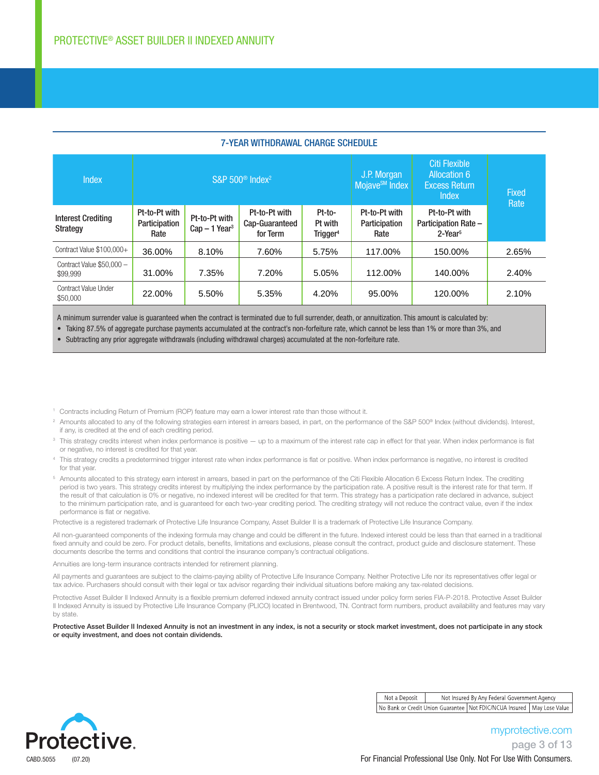| 7-TEAN WITHDNAWAL GHANGE SGHEDOLE            |                                         |                                            |                                             |                                           |                                           |                                                                              |                      |  |  |
|----------------------------------------------|-----------------------------------------|--------------------------------------------|---------------------------------------------|-------------------------------------------|-------------------------------------------|------------------------------------------------------------------------------|----------------------|--|--|
| <b>Index</b>                                 | S&P 500 <sup>®</sup> Index <sup>2</sup> |                                            |                                             |                                           | J.P. Morgan<br>Mojave <sup>SM</sup> Index | Citi Flexible<br><b>Allocation 6</b><br><b>Excess Return</b><br><b>Index</b> | <b>Fixed</b><br>Rate |  |  |
| <b>Interest Crediting</b><br><b>Strategy</b> | Pt-to-Pt with<br>Participation<br>Rate  | Pt-to-Pt with<br>$Cap-1$ Year <sup>3</sup> | Pt-to-Pt with<br>Cap-Guaranteed<br>for Term | Pt-to-<br>Pt with<br>Trigger <sup>4</sup> | Pt-to-Pt with<br>Participation<br>Rate    | Pt-to-Pt with<br><b>Participation Rate -</b><br>$2$ -Year $5$                |                      |  |  |
| Contract Value \$100,000+                    | 36.00%                                  | 8.10%                                      | 7.60%                                       | 5.75%                                     | 117.00%                                   | 150.00%                                                                      | 2.65%                |  |  |
| Contract Value \$50,000 -<br>\$99,999        | 31.00%                                  | 7.35%                                      | 7.20%                                       | 5.05%                                     | 112.00%                                   | 140.00%                                                                      | 2.40%                |  |  |
| <b>Contract Value Under</b><br>\$50,000      | 22.00%                                  | 5.50%                                      | 5.35%                                       | 4.20%                                     | 95.00%                                    | 120.00%                                                                      | 2.10%                |  |  |

### 7-YEAR WITHDRAWAL CHARGE SCHEDULE

A minimum surrender value is guaranteed when the contract is terminated due to full surrender, death, or annuitization. This amount is calculated by:

• Taking 87.5% of aggregate purchase payments accumulated at the contract's non-forfeiture rate, which cannot be less than 1% or more than 3%, and

• Subtracting any prior aggregate withdrawals (including withdrawal charges) accumulated at the non-forfeiture rate.

- 1 Contracts including Return of Premium (ROP) feature may earn a lower interest rate than those without it.
- <sup>2</sup> Amounts allocated to any of the following strategies earn interest in arrears based, in part, on the performance of the S&P 500® Index (without dividends). Interest, if any, is credited at the end of each crediting period.
- <sup>3</sup> This strategy credits interest when index performance is positive up to a maximum of the interest rate cap in effect for that year. When index performance is flat or negative, no interest is credited for that year.
- <sup>4</sup> This strategy credits a predetermined trigger interest rate when index performance is flat or positive. When index performance is negative, no interest is credited for that year.
- <sup>5</sup> Amounts allocated to this strategy earn interest in arrears, based in part on the performance of the Citi Flexible Allocation 6 Excess Return Index. The crediting period is two years. This strategy credits interest by multiplying the index performance by the participation rate. A positive result is the interest rate for that term. If the result of that calculation is 0% or negative, no indexed interest will be credited for that term. This strategy has a participation rate declared in advance, subject to the minimum participation rate, and is guaranteed for each two-year crediting period. The crediting strategy will not reduce the contract value, even if the index performance is flat or negative.

Protective is a registered trademark of Protective Life Insurance Company, Asset Builder II is a trademark of Protective Life Insurance Company.

All non-quaranteed components of the indexing formula may change and could be different in the future. Indexed interest could be less than that earned in a traditional fixed annuity and could be zero. For product details, benefits, limitations and exclusions, please consult the contract, product guide and disclosure statement. These documents describe the terms and conditions that control the insurance company's contractual obligations.

Annuities are long-term insurance contracts intended for retirement planning.

All payments and guarantees are subject to the claims-paying ability of Protective Life Insurance Company. Neither Protective Life nor its representatives offer legal or tax advice. Purchasers should consult with their legal or tax advisor regarding their individual situations before making any tax-related decisions.

Protective Asset Builder II Indexed Annuity is a flexible premium deferred indexed annuity contract issued under policy form series FIA-P-2018. Protective Asset Builder II Indexed Annuity is issued by Protective Life Insurance Company (PLICO) located in Brentwood, TN. Contract form numbers, product availability and features may vary by state.

Protective Asset Builder II Indexed Annuity is not an investment in any index, is not a security or stock market investment, does not participate in any stock or equity investment, and does not contain dividends.



Not a Deposit Not Insured By Any Federal Government Agency No Bank or Credit Union Guarantee | Not FDIC/NCUA Insured | May Lose Value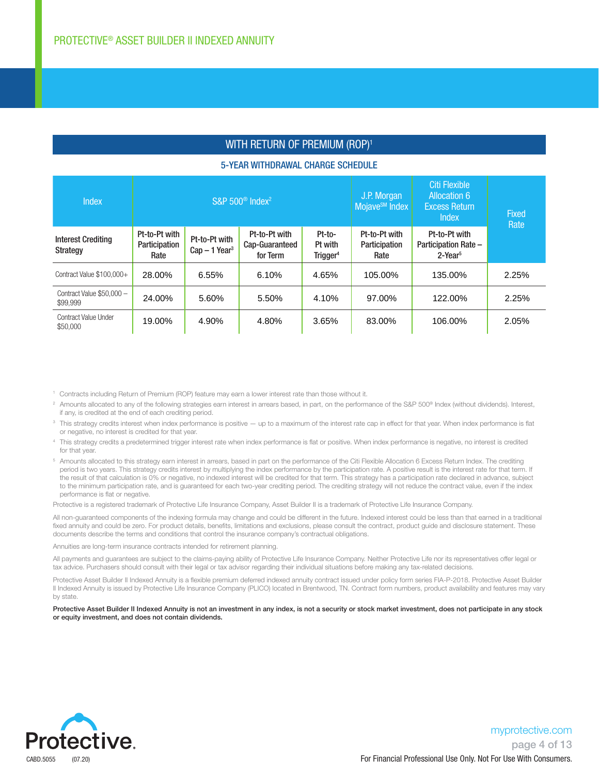### WITH RETURN OF PREMIUM (ROP)<sup>1</sup>

#### 5-YEAR WITHDRAWAL CHARGE SCHEDULE

| <b>Index</b>                          |                                        |                                            | S&P 500 <sup>®</sup> Index <sup>2</sup>     | J.P. Morgan<br>Mojave <sup>SM</sup> Index | <b>Citi Flexible</b><br><b>Allocation 6</b><br><b>Excess Return</b><br><b>Index</b> | Fixed<br>Rate                                          |       |
|---------------------------------------|----------------------------------------|--------------------------------------------|---------------------------------------------|-------------------------------------------|-------------------------------------------------------------------------------------|--------------------------------------------------------|-------|
| <b>Interest Crediting</b><br>Strategy | Pt-to-Pt with<br>Participation<br>Rate | Pt-to-Pt with<br>$Cap-1$ Year <sup>3</sup> | Pt-to-Pt with<br>Cap-Guaranteed<br>for Term | Pt-to-<br>Pt with<br>Trigger <sup>4</sup> | Pt-to-Pt with<br>Participation<br>Rate                                              | Pt-to-Pt with<br>Participation Rate -<br>$2$ -Year $5$ |       |
| Contract Value \$100,000+             | 28.00%                                 | 6.55%                                      | 6.10%                                       | 4.65%                                     | 105.00%                                                                             | 135.00%                                                | 2.25% |
| Contract Value \$50,000 -<br>\$99.999 | 24.00%                                 | 5.60%                                      | 5.50%                                       | 4.10%                                     | 97.00%                                                                              | 122.00%                                                | 2.25% |
| Contract Value Under<br>\$50,000      | 19.00%                                 | 4.90%                                      | 4.80%                                       | 3.65%                                     | 83.00%                                                                              | 106.00%                                                | 2.05% |

1 Contracts including Return of Premium (ROP) feature may earn a lower interest rate than those without it.

- <sup>2</sup> Amounts allocated to any of the following strategies earn interest in arrears based, in part, on the performance of the S&P 500® Index (without dividends). Interest, if any, is credited at the end of each crediting period.
- <sup>3</sup> This strategy credits interest when index performance is positive up to a maximum of the interest rate cap in effect for that year. When index performance is flat or negative, no interest is credited for that year.
- <sup>4</sup> This strategy credits a predetermined trigger interest rate when index performance is flat or positive. When index performance is negative, no interest is credited for that year.
- <sup>5</sup> Amounts allocated to this strategy earn interest in arrears, based in part on the performance of the Citi Flexible Allocation 6 Excess Return Index. The crediting period is two years. This strategy credits interest by multiplying the index performance by the participation rate. A positive result is the interest rate for that term. If the result of that calculation is 0% or negative, no indexed interest will be credited for that term. This strategy has a participation rate declared in advance, subject to the minimum participation rate, and is guaranteed for each two-year crediting period. The crediting strategy will not reduce the contract value, even if the index performance is flat or negative.

Protective is a registered trademark of Protective Life Insurance Company, Asset Builder II is a trademark of Protective Life Insurance Company.

All non-guaranteed components of the indexing formula may change and could be different in the future. Indexed interest could be less than that earned in a traditional fixed annuity and could be zero. For product details, benefits, limitations and exclusions, please consult the contract, product guide and disclosure statement. These documents describe the terms and conditions that control the insurance company's contractual obligations.

Annuities are long-term insurance contracts intended for retirement planning.

All payments and guarantees are subject to the claims-paying ability of Protective Life Insurance Company. Neither Protective Life nor its representatives offer legal or tax advice. Purchasers should consult with their legal or tax advisor regarding their individual situations before making any tax-related decisions.

Protective Asset Builder II Indexed Annuity is a flexible premium deferred indexed annuity contract issued under policy form series FIA-P-2018. Protective Asset Builder II Indexed Annuity is issued by Protective Life Insurance Company (PLICO) located in Brentwood, TN. Contract form numbers, product availability and features may vary by state.

Protective Asset Builder II Indexed Annuity is not an investment in any index, is not a security or stock market investment, does not participate in any stock or equity investment, and does not contain dividends.

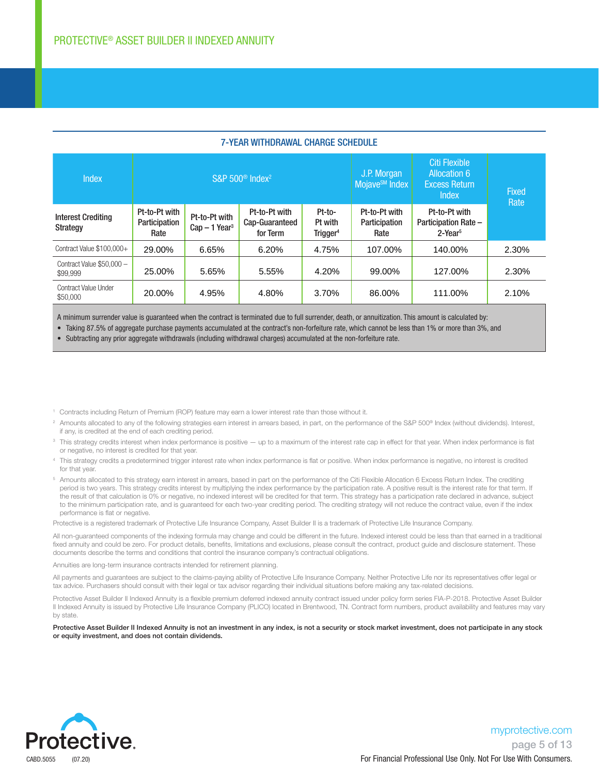| <u>LAILWITHDIAWAL VIIAHUL VUILDULL</u>  |                                         |                                            |                                             |                                           |                                           |                                                                              |                      |  |
|-----------------------------------------|-----------------------------------------|--------------------------------------------|---------------------------------------------|-------------------------------------------|-------------------------------------------|------------------------------------------------------------------------------|----------------------|--|
| <b>Index</b>                            | S&P 500 <sup>®</sup> Index <sup>2</sup> |                                            |                                             |                                           | J.P. Morgan<br>Mojave <sup>SM</sup> Index | Citi Flexible<br><b>Allocation 6</b><br><b>Excess Return</b><br><b>Index</b> | <b>Fixed</b><br>Rate |  |
| <b>Interest Crediting</b><br>Strategy   | Pt-to-Pt with<br>Participation<br>Rate  | Pt-to-Pt with<br>$Cap-1$ Year <sup>3</sup> | Pt-to-Pt with<br>Cap-Guaranteed<br>for Term | Pt-to-<br>Pt with<br>Trigger <sup>4</sup> | Pt-to-Pt with<br>Participation<br>Rate    | Pt-to-Pt with<br>Participation Rate -<br>$2$ -Year $5$                       |                      |  |
| Contract Value \$100,000+               | 29.00%                                  | 6.65%                                      | 6.20%                                       | 4.75%                                     | 107.00%                                   | 140.00%                                                                      | 2.30%                |  |
| Contract Value \$50,000 -<br>\$99,999   | 25.00%                                  | 5.65%                                      | 5.55%                                       | 4.20%                                     | 99.00%                                    | 127.00%                                                                      | 2.30%                |  |
| <b>Contract Value Under</b><br>\$50,000 | 20.00%                                  | 4.95%                                      | 4.80%                                       | 3.70%                                     | 86.00%                                    | 111.00%                                                                      | 2.10%                |  |

#### **7-YEAR WITHDRAWAL CHARGE SCHEDULE**

A minimum surrender value is guaranteed when the contract is terminated due to full surrender, death, or annuitization. This amount is calculated by:

• Taking 87.5% of aggregate purchase payments accumulated at the contract's non-forfeiture rate, which cannot be less than 1% or more than 3%, and

• Subtracting any prior aggregate withdrawals (including withdrawal charges) accumulated at the non-forfeiture rate.

- 1 Contracts including Return of Premium (ROP) feature may earn a lower interest rate than those without it.
- <sup>2</sup> Amounts allocated to any of the following strategies earn interest in arrears based, in part, on the performance of the S&P 500® Index (without dividends). Interest, if any, is credited at the end of each crediting period.
- <sup>3</sup> This strategy credits interest when index performance is positive up to a maximum of the interest rate cap in effect for that year. When index performance is flat or negative, no interest is credited for that year.
- <sup>4</sup> This strategy credits a predetermined trigger interest rate when index performance is flat or positive. When index performance is negative, no interest is credited for that year.
- <sup>5</sup> Amounts allocated to this strategy earn interest in arrears, based in part on the performance of the Citi Flexible Allocation 6 Excess Return Index. The crediting period is two years. This strategy credits interest by multiplying the index performance by the participation rate. A positive result is the interest rate for that term. If the result of that calculation is 0% or negative, no indexed interest will be credited for that term. This strategy has a participation rate declared in advance, subject to the minimum participation rate, and is guaranteed for each two-year crediting period. The crediting strategy will not reduce the contract value, even if the index performance is flat or negative.

Protective is a registered trademark of Protective Life Insurance Company, Asset Builder II is a trademark of Protective Life Insurance Company.

All non-guaranteed components of the indexing formula may change and could be different in the future. Indexed interest could be less than that earned in a traditional fixed annuity and could be zero. For product details, benefits, limitations and exclusions, please consult the contract, product guide and disclosure statement. These documents describe the terms and conditions that control the insurance company's contractual obligations.

Annuities are long-term insurance contracts intended for retirement planning.

All payments and guarantees are subject to the claims-paying ability of Protective Life Insurance Company. Neither Protective Life nor its representatives offer legal or tax advice. Purchasers should consult with their legal or tax advisor regarding their individual situations before making any tax-related decisions.

Protective Asset Builder II Indexed Annuity is a flexible premium deferred indexed annuity contract issued under policy form series FIA-P-2018. Protective Asset Builder II Indexed Annuity is issued by Protective Life Insurance Company (PLICO) located in Brentwood, TN. Contract form numbers, product availability and features may vary by state.

Protective Asset Builder II Indexed Annuity is not an investment in any index, is not a security or stock market investment, does not participate in any stock or equity investment, and does not contain dividends.

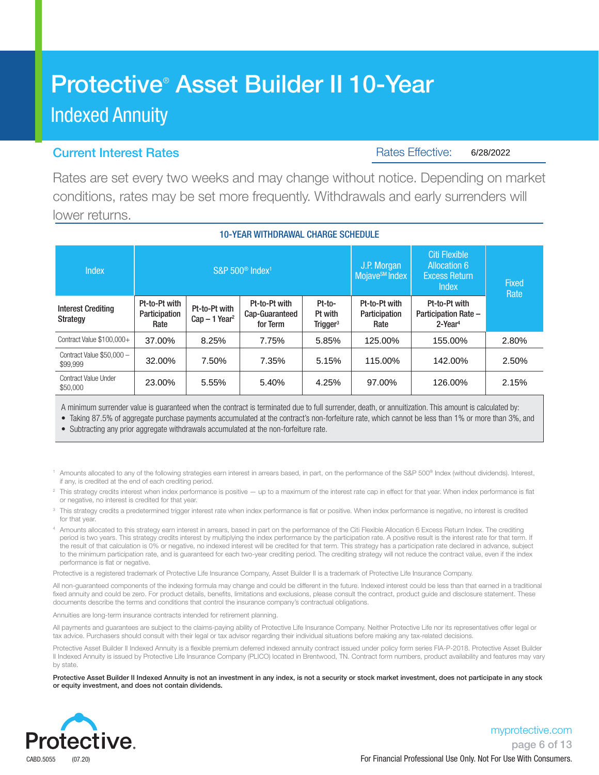# Protective® Asset Builder II 10-Year Indexed Annuity

### Current Interest Rates

Rates Effective: 6/28/2022

Rates are set every two weeks and may change without notice. Depending on market conditions, rates may be set more frequently. Withdrawals and early surrenders will lower returns.

10-YEAR WITHDRAWAL CHARGE SCHEDULE

### $S\&P 500^\circ$  Index<sup>1</sup> J.P. Morgan Mojave<sup>sM</sup> Index Citi Flexible Allocation 6

| шибл                                    |                                        |                                            | <b>UCKI JUU IHUGA</b>                       | <b>Mojave<sup>SM</sup></b> Index          | <b>Excess Return</b><br><b>Index</b>   | <b>Fixed</b><br>Rate                                            |       |
|-----------------------------------------|----------------------------------------|--------------------------------------------|---------------------------------------------|-------------------------------------------|----------------------------------------|-----------------------------------------------------------------|-------|
| <b>Interest Crediting</b><br>Strategy   | Pt-to-Pt with<br>Participation<br>Rate | Pt-to-Pt with<br>$Cap-1$ Year <sup>2</sup> | Pt-to-Pt with<br>Cap-Guaranteed<br>for Term | Pt-to-<br>Pt with<br>Trigger <sup>3</sup> | Pt-to-Pt with<br>Participation<br>Rate | Pt-to-Pt with<br>Participation Rate -<br>$2$ -Year <sup>4</sup> |       |
| Contract Value \$100,000+               | 37.00%                                 | 8.25%                                      | 7.75%                                       | 5.85%                                     | 125.00%                                | 155.00%                                                         | 2.80% |
| Contract Value \$50,000 -<br>\$99,999   | 32.00%                                 | 7.50%                                      | 7.35%                                       | 5.15%                                     | 115.00%                                | 142.00%                                                         | 2.50% |
| <b>Contract Value Under</b><br>\$50,000 | 23.00%                                 | 5.55%                                      | 5.40%                                       | 4.25%                                     | 97.00%                                 | 126.00%                                                         | 2.15% |

A minimum surrender value is guaranteed when the contract is terminated due to full surrender, death, or annuitization. This amount is calculated by:

• Taking 87.5% of aggregate purchase payments accumulated at the contract's non-forfeiture rate, which cannot be less than 1% or more than 3%, and

• Subtracting any prior aggregate withdrawals accumulated at the non-forfeiture rate.

Amounts allocated to any of the following strategies earn interest in arrears based, in part, on the performance of the S&P 500® Index (without dividends). Interest, if any, is credited at the end of each crediting period.

<sup>2</sup> This strategy credits interest when index performance is positive — up to a maximum of the interest rate cap in effect for that year. When index performance is flat or negative, no interest is credited for that year.

<sup>3</sup> This strategy credits a predetermined trigger interest rate when index performance is flat or positive. When index performance is negative, no interest is credited for that year.

<sup>4</sup> Amounts allocated to this strategy earn interest in arrears, based in part on the performance of the Citi Flexible Allocation 6 Excess Return Index. The crediting period is two years. This strategy credits interest by multiplying the index performance by the participation rate. A positive result is the interest rate for that term. If the result of that calculation is 0% or negative, no indexed interest will be credited for that term. This strategy has a participation rate declared in advance, subject to the minimum participation rate, and is guaranteed for each two-year crediting period. The crediting strategy will not reduce the contract value, even if the index performance is flat or negative.

Protective is a registered trademark of Protective Life Insurance Company, Asset Builder II is a trademark of Protective Life Insurance Company.

All non-guaranteed components of the indexing formula may change and could be different in the future. Indexed interest could be less than that earned in a traditional fixed annuity and could be zero. For product details, benefits, limitations and exclusions, please consult the contract, product guide and disclosure statement. These documents describe the terms and conditions that control the insurance company's contractual obligations.

Annuities are long-term insurance contracts intended for retirement planning.

All payments and guarantees are subject to the claims-paying ability of Protective Life Insurance Company. Neither Protective Life nor its representatives offer legal or tax advice. Purchasers should consult with their legal or tax advisor regarding their individual situations before making any tax-related decisions.

Protective Asset Builder II Indexed Annuity is a flexible premium deferred indexed annuity contract issued under policy form series FIA-P-2018. Protective Asset Builder II Indexed Annuity is issued by Protective Life Insurance Company (PLICO) located in Brentwood, TN. Contract form numbers, product availability and features may vary by state.

Protective Asset Builder II Indexed Annuity is not an investment in any index, is not a security or stock market investment, does not participate in any stock or equity investment, and does not contain dividends.

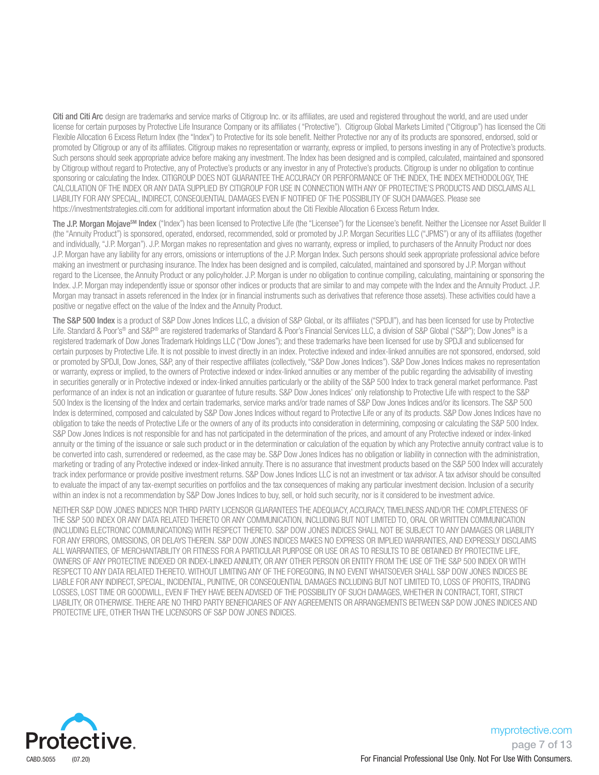Citi and Citi Arc design are trademarks and service marks of Citigroup Inc. or its affiliates, are used and registered throughout the world, and are used under license for certain purposes by Protective Life Insurance Company or its affiliates ( "Protective"). Citigroup Global Markets Limited ("Citigroup") has licensed the Citi Flexible Allocation 6 Excess Return Index (the "Index") to Protective for its sole benefit. Neither Protective nor any of its products are sponsored, endorsed, sold or promoted by Citigroup or any of its affiliates. Citigroup makes no representation or warranty, express or implied, to persons investing in any of Protective's products. Such persons should seek appropriate advice before making any investment. The Index has been designed and is compiled, calculated, maintained and sponsored by Citigroup without regard to Protective, any of Protective's products or any investor in any of Protective's products. Citigroup is under no obligation to continue sponsoring or calculating the Index. CITIGROUP DOES NOT GUARANTEE THE ACCURACY OR PERFORMANCE OF THE INDEX, THE INDEX METHODOLOGY, THE CALCULATION OF THE INDEX OR ANY DATA SUPPLIED BY CITIGROUP FOR USE IN CONNECTION WITH ANY OF PROTECTIVE'S PRODUCTS AND DISCLAIMS ALL LIABILITY FOR ANY SPECIAL, INDIRECT, CONSEQUENTIAL DAMAGES EVEN IF NOTIFIED OF THE POSSIBILITY OF SUCH DAMAGES. Please see https://investmentstrategies.citi.com for additional important information about the Citi Flexible Allocation 6 Excess Return Index.

The J.P. Morgan Mojave<sup>sM</sup> Index ("Index") has been licensed to Protective Life (the "Licensee") for the Licensee's benefit. Neither the Licensee or Asset Builder II (the "Annuity Product") is sponsored, operated, endorsed, recommended, sold or promoted by J.P. Morgan Securities LLC ("JPMS") or any of its affiliates (together and individually, "J.P. Morgan"). J.P. Morgan makes no representation and gives no warranty, express or implied, to purchasers of the Annuity Product nor does J.P. Morgan have any liability for any errors, omissions or interruptions of the J.P. Morgan Index. Such persons should seek appropriate professional advice before making an investment or purchasing insurance. The Index has been designed and is compiled, calculated, maintained and sponsored by J.P. Morgan without regard to the Licensee, the Annuity Product or any policyholder. J.P. Morgan is under no obligation to continue compiling, calculating, maintaining or sponsoring the Index. J.P. Morgan may independently issue or sponsor other indices or products that are similar to and may compete with the Index and the Annuity Product. J.P. Morgan may transact in assets referenced in the Index (or in financial instruments such as derivatives that reference those assets). These activities could have a positive or negative effect on the value of the Index and the Annuity Product.

The S&P 500 Index is a product of S&P Dow Jones Indices LLC, a division of S&P Global, or its affiliates ("SPDJI"), and has been licensed for use by Protective Life. Standard & Poor's® and S&P® are registered trademarks of Standard & Poor's Financial Services LLC, a division of S&P Global ("S&P"); Dow Jones® is a registered trademark of Dow Jones Trademark Holdings LLC ("Dow Jones"); and these trademarks have been licensed for use by SPDJI and sublicensed for certain purposes by Protective Life. It is not possible to invest directly in an index. Protective indexed and index-linked annuities are not sponsored, endorsed, sold or promoted by SPDJI, Dow Jones, S&P, any of their respective affiliates (collectively, "S&P Dow Jones Indices"). S&P Dow Jones Indices makes no representation or warranty, express or implied, to the owners of Protective indexed or index-linked annuities or any member of the public regarding the advisability of investing in securities generally or in Protective indexed or index-linked annuities particularly or the ability of the S&P 500 Index to track general market performance. Past performance of an index is not an indication or guarantee of future results. S&P Dow Jones Indices' only relationship to Protective Life with respect to the S&P 500 Index is the licensing of the Index and certain trademarks, service marks and/or trade names of S&P Dow Jones Indices and/or its licensors. The S&P 500 Index is determined, composed and calculated by S&P Dow Jones Indices without regard to Protective Life or any of its products. S&P Dow Jones Indices have no obligation to take the needs of Protective Life or the owners of any of its products into consideration in determining, composing or calculating the S&P 500 Index. S&P Dow Jones Indices is not responsible for and has not participated in the determination of the prices, and amount of any Protective indexed or index-linked annuity or the timing of the issuance or sale such product or in the determination or calculation of the equation by which any Protective annuity contract value is to be converted into cash, surrendered or redeemed, as the case may be. S&P Dow Jones Indices has no obligation or liability in connection with the administration, marketing or trading of any Protective indexed or index-linked annuity. There is no assurance that investment products based on the S&P 500 Index will accurately track index performance or provide positive investment returns. S&P Dow Jones Indices LLC is not an investment or tax advisor. A tax advisor should be consulted to evaluate the impact of any tax-exempt securities on portfolios and the tax consequences of making any particular investment decision. Inclusion of a security within an index is not a recommendation by S&P Dow Jones Indices to buy, sell, or hold such security, nor is it considered to be investment advice.

NEITHER S&P DOW JONES INDICES NOR THIRD PARTY LICENSOR GUARANTEES THE ADEQUACY, ACCURACY, TIMELINESS AND/OR THE COMPLETENESS OF THE S&P 500 INDEX OR ANY DATA RELATED THERETO OR ANY COMMUNICATION, INCLUDING BUT NOT LIMITED TO, ORAL OR WRITTEN COMMUNICATION (INCLUDING ELECTRONIC COMMUNICATIONS) WITH RESPECT THERETO. S&P DOW JONES INDICES SHALL NOT BE SUBJECT TO ANY DAMAGES OR LIABILITY FOR ANY ERRORS, OMISSIONS, OR DELAYS THEREIN. S&P DOW JONES INDICES MAKES NO EXPRESS OR IMPLIED WARRANTIES, AND EXPRESSLY DISCLAIMS ALL WARRANTIES, OF MERCHANTABILITY OR FITNESS FOR A PARTICULAR PURPOSE OR USE OR AS TO RESULTS TO BE OBTAINED BY PROTECTIVE LIFE, OWNERS OF ANY PROTECTIVE INDEXED OR INDEX-LINKED ANNUITY, OR ANY OTHER PERSON OR ENTITY FROM THE USE OF THE S&P 500 INDEX OR WITH RESPECT TO ANY DATA RELATED THERETO. WITHOUT LIMITING ANY OF THE FOREGOING, IN NO EVENT WHATSOEVER SHALL S&P DOW JONES INDICES BE LIABLE FOR ANY INDIRECT, SPECIAL, INCIDENTAL, PUNITIVE, OR CONSEQUENTIAL DAMAGES INCLUDING BUT NOT LIMITED TO, LOSS OF PROFITS, TRADING LOSSES, LOST TIME OR GOODWILL, EVEN IF THEY HAVE BEEN ADVISED OF THE POSSIBILITY OF SUCH DAMAGES, WHETHER IN CONTRACT, TORT, STRICT LIABILITY, OR OTHERWISE. THERE ARE NO THIRD PARTY BENEFICIARIES OF ANY AGREEMENTS OR ARRANGEMENTS BETWEEN S&P DOW JONES INDICES AND PROTECTIVE LIFE, OTHER THAN THE LICENSORS OF S&P DOW JONES INDICES.

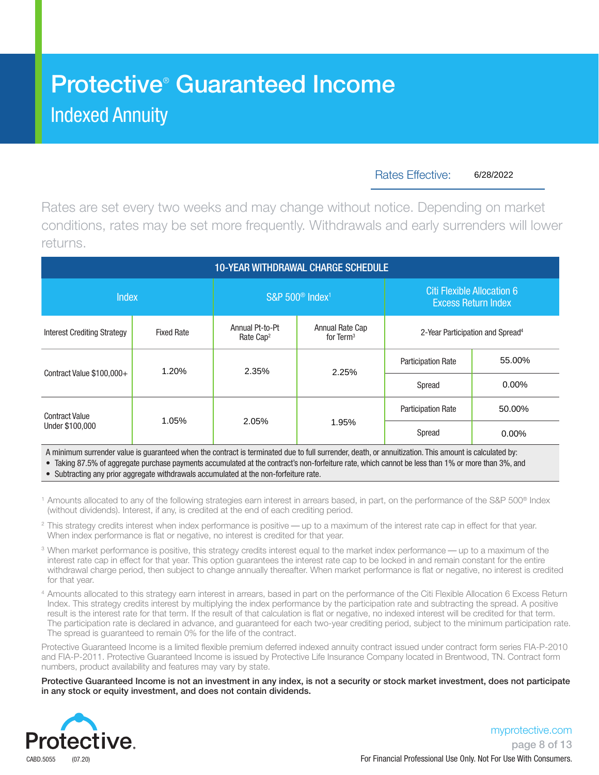## Protective® Guaranteed Income Indexed Annuity

Rates Effective:

6/28/2022

Rates are set every two weeks and may change without notice. Depending on market conditions, rates may be set more frequently. Withdrawals and early surrenders will lower returns.

| <b>10-YEAR WITHDRAWAL CHARGE SCHEDULE</b> |                   |                                          |                                         |                                                                 |          |  |  |  |  |
|-------------------------------------------|-------------------|------------------------------------------|-----------------------------------------|-----------------------------------------------------------------|----------|--|--|--|--|
| <b>Index</b>                              |                   |                                          | S&P 500 <sup>®</sup> Index <sup>1</sup> | <b>Citi Flexible Allocation 6</b><br><b>Excess Return Index</b> |          |  |  |  |  |
| <b>Interest Crediting Strategy</b>        | <b>Fixed Rate</b> | Annual Pt-to-Pt<br>Rate Cap <sup>2</sup> | Annual Rate Cap<br>for $Term3$          | 2-Year Participation and Spread <sup>4</sup>                    |          |  |  |  |  |
|                                           | 1.20%             | 2.35%                                    | 2.25%                                   | <b>Participation Rate</b>                                       | 55.00%   |  |  |  |  |
| Contract Value \$100,000+                 |                   |                                          |                                         | Spread                                                          | $0.00\%$ |  |  |  |  |
| <b>Contract Value</b><br>Under \$100,000  |                   |                                          |                                         | <b>Participation Rate</b>                                       | 50.00%   |  |  |  |  |
|                                           | 1.05%             | 2.05%                                    | 1.95%                                   | Spread                                                          | 0.00%    |  |  |  |  |

A minimum surrender value is guaranteed when the contract is terminated due to full surrender, death, or annuitization. This amount is calculated by: • Taking 87.5% of aggregate purchase payments accumulated at the contract's non-forfeiture rate, which cannot be less than 1% or more than 3%, and

• Subtracting any prior aggregate withdrawals accumulated at the non-forfeiture rate.

- <sup>1</sup> Amounts allocated to any of the following strategies earn interest in arrears based, in part, on the performance of the S&P 500<sup>®</sup> Index (without dividends). Interest, if any, is credited at the end of each crediting period.
- <sup>2</sup> This strategy credits interest when index performance is positive up to a maximum of the interest rate cap in effect for that year. When index performance is flat or negative, no interest is credited for that year.
- <sup>3</sup> When market performance is positive, this strategy credits interest equal to the market index performance up to a maximum of the interest rate cap in effect for that year. This option guarantees the interest rate cap to be locked in and remain constant for the entire withdrawal charge period, then subject to change annually thereafter. When market performance is flat or negative, no interest is credited for that year.
- <sup>4</sup> Amounts allocated to this strategy earn interest in arrears, based in part on the performance of the Citi Flexible Allocation 6 Excess Return Index. This strategy credits interest by multiplying the index performance by the participation rate and subtracting the spread. A positive result is the interest rate for that term. If the result of that calculation is flat or negative, no indexed interest will be credited for that term. The participation rate is declared in advance, and guaranteed for each two-year crediting period, subject to the minimum participation rate. The spread is guaranteed to remain 0% for the life of the contract.

Protective Guaranteed Income is a limited flexible premium deferred indexed annuity contract issued under contract form series FIA-P-2010 and FIA-P-2011. Protective Guaranteed Income is issued by Protective Life Insurance Company located in Brentwood, TN. Contract form numbers, product availability and features may vary by state.

Protective Guaranteed Income is not an investment in any index, is not a security or stock market investment, does not participate in any stock or equity investment, and does not contain dividends.

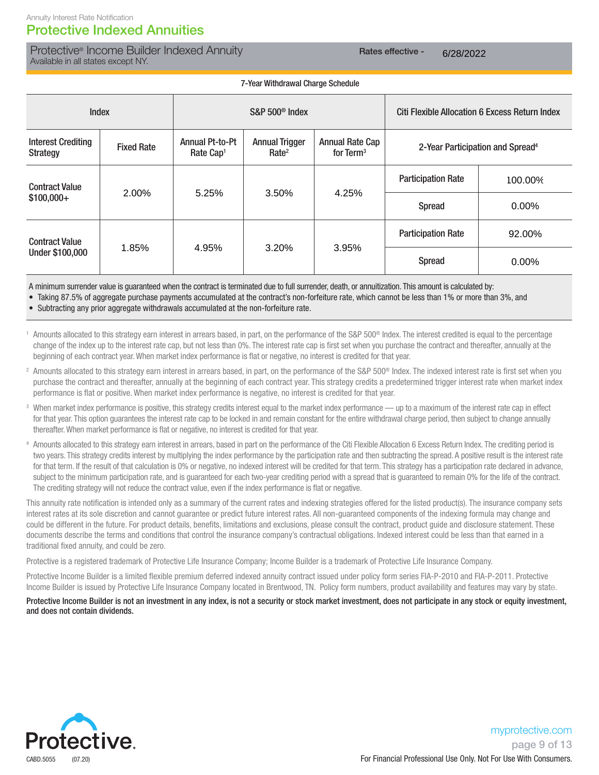### Protective Indexed Annuities

Protective® Income Builder Indexed Annuity **Rates effective - Rates effective** -Available in all states except NY.

6/28/2022

 7-Year Withdrawal Charge Schedule Index S&P 500® Index Citi Flexible Allocation 6 Excess Return Index Interest Crediting Strategy Fixed Rate Annual Pt-to-Pt Rate Cap1 **Annual Trigger** Rate2 Annual Rate Cap for Term<sup>3</sup> 2-Year Participation and Spread<sup>4</sup> Contract Value \$100,000+ Participation Rate Spread Contract Value Under \$100,000 Participation Rate Spread 2.00% 5.25% 3.50% 4.25% 100.00% 0.00% 1.85% 4.95% 3.20% 3.95% 92.00% 0.00%

A minimum surrender value is guaranteed when the contract is terminated due to full surrender, death, or annuitization. This amount is calculated by:

• Taking 87.5% of aggregate purchase payments accumulated at the contract's non-forfeiture rate, which cannot be less than 1% or more than 3%, and

• Subtracting any prior aggregate withdrawals accumulated at the non-forfeiture rate.

<sup>1</sup> Amounts allocated to this strategy earn interest in arrears based, in part, on the performance of the S&P 500<sup>®</sup> Index. The interest credited is equal to the percentage change of the index up to the interest rate cap, but not less than 0%. The interest rate cap is first set when you purchase the contract and thereafter, annually at the beginning of each contract year. When market index performance is flat or negative, no interest is credited for that year.

- <sup>2</sup> Amounts allocated to this strategy earn interest in arrears based, in part, on the performance of the S&P 500<sup>®</sup> Index. The indexed interest rate is first set when you purchase the contract and thereafter, annually at the beginning of each contract year. This strategy credits a predetermined trigger interest rate when market index performance is flat or positive. When market index performance is negative, no interest is credited for that year.
- <sup>3</sup> When market index performance is positive, this strategy credits interest equal to the market index performance up to a maximum of the interest rate cap in effect for that year. This option guarantees the interest rate cap to be locked in and remain constant for the entire withdrawal charge period, then subject to change annually thereafter. When market performance is flat or negative, no interest is credited for that year.
- <sup>4</sup> Amounts allocated to this strategy earn interest in arrears, based in part on the performance of the Citi Flexible Allocation 6 Excess Return Index. The crediting period is two years. This strategy credits interest by multiplying the index performance by the participation rate and then subtracting the spread. A positive result is the interest rate for that term. If the result of that calculation is 0% or negative, no indexed interest will be credited for that term. This strategy has a participation rate declared in advance, subject to the minimum participation rate, and is guaranteed for each two-year crediting period with a spread that is guaranteed to remain 0% for the life of the contract. The crediting strategy will not reduce the contract value, even if the index performance is flat or negative.

This annuity rate notification is intended only as a summary of the current rates and indexing strategies offered for the listed product(s). The insurance company sets interest rates at its sole discretion and cannot guarantee or predict future interest rates. All non-guaranteed components of the indexing formula may change and could be different in the future. For product details, benefits, limitations and exclusions, please consult the contract, product guide and disclosure statement. These documents describe the terms and conditions that control the insurance company's contractual obligations. Indexed interest could be less than that earned in a traditional fixed annuity, and could be zero.

Protective is a registered trademark of Protective Life Insurance Company; Income Builder is a trademark of Protective Life Insurance Company.

Protective Income Builder is a limited flexible premium deferred indexed annuity contract issued under policy form series FIA-P-2010 and FIA-P-2011. Protective Income Builder is issued by Protective Life Insurance Company located in Brentwood, TN. Policy form numbers, product availability and features may vary by state.

#### Protective Income Builder is not an investment in any index, is not a security or stock market investment, does not participate in any stock or equity investment, and does not contain dividends.

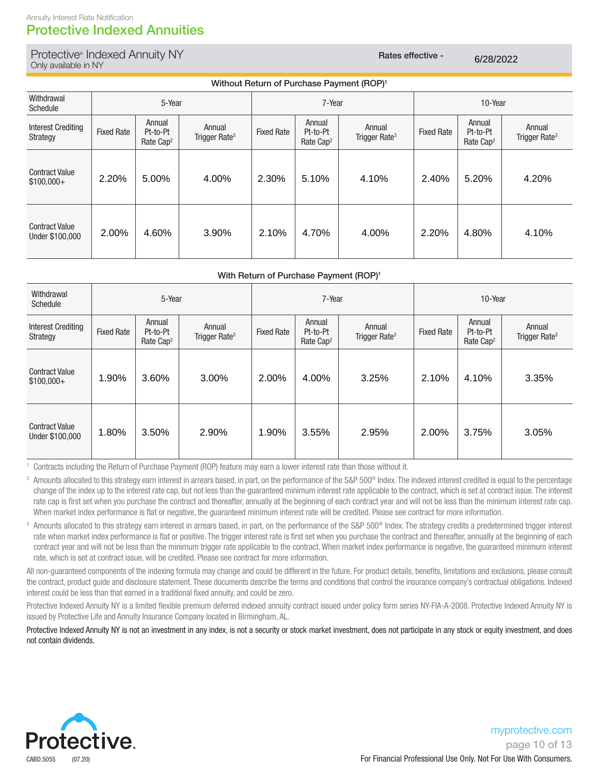#### Annuity Interest Rate Notification Protective Indexed Annuities

### Protective® Indexed Annuity NY Rates effective -Only available in NY

6/28/2022

|                                          | Without Return of Purchase Payment (ROP) <sup>1</sup> |                                             |                                     |                   |                                             |                                     |                   |                                             |                                     |  |
|------------------------------------------|-------------------------------------------------------|---------------------------------------------|-------------------------------------|-------------------|---------------------------------------------|-------------------------------------|-------------------|---------------------------------------------|-------------------------------------|--|
| Withdrawal<br>Schedule                   | 5-Year                                                |                                             |                                     |                   | 7-Year                                      |                                     |                   | 10-Year                                     |                                     |  |
| <b>Interest Crediting</b><br>Strategy    | <b>Fixed Rate</b>                                     | Annual<br>Pt-to-Pt<br>Rate Cap <sup>2</sup> | Annual<br>Trigger Rate <sup>3</sup> | <b>Fixed Rate</b> | Annual<br>Pt-to-Pt<br>Rate Cap <sup>2</sup> | Annual<br>Trigger Rate <sup>3</sup> | <b>Fixed Rate</b> | Annual<br>Pt-to-Pt<br>Rate Cap <sup>2</sup> | Annual<br>Trigger Rate <sup>3</sup> |  |
| <b>Contract Value</b><br>$$100,000+$     | 2.20%                                                 | 5.00%                                       | 4.00%                               | 2.30%             | 5.10%                                       | 4.10%                               | 2.40%             | 5.20%                                       | 4.20%                               |  |
| <b>Contract Value</b><br>Under \$100,000 | 2.00%                                                 | 4.60%                                       | 3.90%                               | 2.10%             | 4.70%                                       | 4.00%                               | 2.20%             | 4.80%                                       | 4.10%                               |  |

#### With Return of Purchase Payment (ROP)<sup>1</sup>

| Withdrawal<br>Schedule                   |                   | 5-Year                                      |                                     | 7-Year            |                                             | 10-Year                             |                   |                                             |                                     |
|------------------------------------------|-------------------|---------------------------------------------|-------------------------------------|-------------------|---------------------------------------------|-------------------------------------|-------------------|---------------------------------------------|-------------------------------------|
| <b>Interest Crediting</b><br>Strategy    | <b>Fixed Rate</b> | Annual<br>Pt-to-Pt<br>Rate Cap <sup>2</sup> | Annual<br>Trigger Rate <sup>3</sup> | <b>Fixed Rate</b> | Annual<br>Pt-to-Pt<br>Rate Cap <sup>2</sup> | Annual<br>Trigger Rate <sup>3</sup> | <b>Fixed Rate</b> | Annual<br>Pt-to-Pt<br>Rate Cap <sup>2</sup> | Annual<br>Trigger Rate <sup>3</sup> |
| <b>Contract Value</b><br>$$100,000+$     | 1.90%             | 3.60%                                       | 3.00%                               | 2.00%             | 4.00%                                       | 3.25%                               | 2.10%             | 4.10%                                       | 3.35%                               |
| <b>Contract Value</b><br>Under \$100,000 | 1.80%             | 3.50%                                       | 2.90%                               | 1.90%             | 3.55%                                       | 2.95%                               | 2.00%             | 3.75%                                       | 3.05%                               |

<sup>1</sup> Contracts including the Return of Purchase Payment (ROP) feature may earn a lower interest rate than those without it.

- <sup>2</sup> Amounts allocated to this strategy earn interest in arrears based, in part, on the performance of the S&P 500<sup>®</sup> Index. The indexed interest credited is equal to the percentage change of the index up to the interest rate cap, but not less than the guaranteed minimum interest rate applicable to the contract, which is set at contract issue. The interest rate cap is first set when you purchase the contract and thereafter, annually at the beginning of each contract year and will not be less than the minimum interest rate cap. When market index performance is flat or negative, the guaranteed minimum interest rate will be credited. Please see contract for more information.
- <sup>3</sup> Amounts allocated to this strategy earn interest in arrears based, in part, on the performance of the S&P 500<sup>®</sup> Index. The strategy credits a predetermined trigger interest rate when market index performance is flat or positive. The trigger interest rate is first set when you purchase the contract and thereafter, annually at the beginning of each contract year and will not be less than the minimum trigger rate applicable to the contract. When market index performance is negative, the guaranteed minimum interest rate, which is set at contract issue, will be credited. Please see contract for more information.

All non-guaranteed components of the indexing formula may change and could be different in the future. For product details, benefits, limitations and exclusions, please consult the contract, product guide and disclosure statement. These documents describe the terms and conditions that control the insurance company's contractual obligations. Indexed interest could be less than that earned in a traditional fixed annuity, and could be zero.

Protective Indexed Annuity NY is a limited flexible premium deferred indexed annuity contract issued under policy form series NY-FIA-A-2008. Protective Indexed Annuity NY is issued by Protective Life and Annuity Insurance Company located in Birmingham, AL.

Protective Indexed Annuity NY is not an investment in any index, is not a security or stock market investment, does not participate in any stock or equity investment, and does not contain dividends.

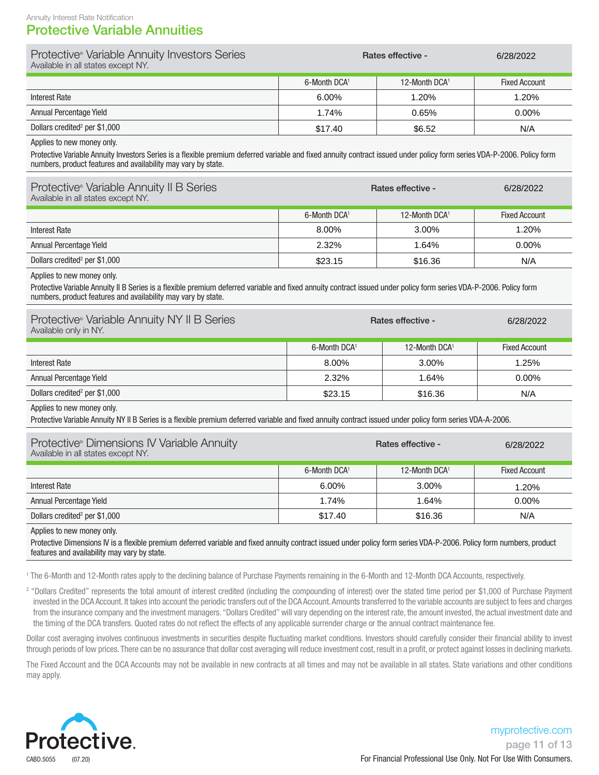### Protective Variable Annuities

| Protective® Variable Annuity Investors Series<br>Available in all states except NY.                                                                                                                  | Rates effective - | 6/28/2022     |               |
|------------------------------------------------------------------------------------------------------------------------------------------------------------------------------------------------------|-------------------|---------------|---------------|
|                                                                                                                                                                                                      | 6-Month DCA1      | 12-Month DCA1 | Fixed Account |
| Interest Rate                                                                                                                                                                                        | $6.00\%$          | 1.20%         | 1.20%         |
| Annual Percentage Yield                                                                                                                                                                              | 1.74%             | 0.65%         | $0.00\%$      |
| Dollars credited <sup>2</sup> per \$1,000                                                                                                                                                            | \$17.40           | \$6.52        | N/A           |
| Applies to new money only.<br>Protective Variable Annuity Investors Series is a flexible premium deferred variable and fixed annuity contract issued under policy form series VDA-P-2006 Policy form |                   |               |               |

pie and fixed annuity contract issued under policy form series VDA-P-2006. Policy form numbers, product features and availability may vary by state.

| Protective <sup>®</sup> Variable Annuity II B Series<br>Available in all states except NY. | <b>Rates effective -</b> | 6/28/2022     |                      |
|--------------------------------------------------------------------------------------------|--------------------------|---------------|----------------------|
|                                                                                            | 6-Month DCA1             | 12-Month DCA1 | <b>Fixed Account</b> |
| Interest Rate                                                                              | 8.00%                    | $3.00\%$      | 1.20%                |
| Annual Percentage Yield                                                                    | 2.32%                    | 1.64%         | $0.00\%$             |
| Dollars credited <sup>2</sup> per \$1,000                                                  | \$23.15                  | \$16.36       | N/A                  |

Applies to new money only.

Protective Variable Annuity II B Series is a flexible premium deferred variable and fixed annuity contract issued under policy form series VDA-P-2006. Policy form numbers, product features and availability may vary by state.

| Protective® Variable Annuity NY II B Series<br>Available only in NY. | <b>Rates effective -</b> | 6/28/2022     |                      |
|----------------------------------------------------------------------|--------------------------|---------------|----------------------|
|                                                                      | 6-Month DCA1             | 12-Month DCA1 | <b>Fixed Account</b> |
| Interest Rate                                                        | 8.00%                    | $3.00\%$      | 1.25%                |
| Annual Percentage Yield                                              | 2.32%                    | 1.64%         | $0.00\%$             |
| Dollars credited <sup>2</sup> per \$1,000                            | \$23.15                  | \$16.36       | N/A                  |

Applies to new money only.

Protective Variable Annuity NY II B Series is a flexible premium deferred variable and fixed annuity contract issued under policy form series VDA-A-2006.

| Protective® Dimensions IV Variable Annuity<br>Available in all states except NY. | <b>Rates effective -</b><br>6/28/2022 |                           |                      |
|----------------------------------------------------------------------------------|---------------------------------------|---------------------------|----------------------|
|                                                                                  | 6-Month DCA1                          | 12-Month DCA <sup>1</sup> | <b>Fixed Account</b> |
| Interest Rate                                                                    | 6.00%                                 | 3.00%                     | 1.20%                |
| Annual Percentage Yield                                                          | 1.74%                                 | 1.64%                     | $0.00\%$             |
| Dollars credited <sup>2</sup> per \$1,000                                        | \$17.40                               | \$16.36                   | N/A                  |

Applies to new money only.

Protective Dimensions IV is a flexible premium deferred variable and fixed annuity contract issued under policy form series VDA-P-2006. Policy form numbers, product features and availability may vary by state.

1 The 6-Month and 12-Month rates apply to the declining balance of Purchase Payments remaining in the 6-Month and 12-Month DCA Accounts, respectively.

<sup>2</sup> "Dollars Credited" represents the total amount of interest credited (including the compounding of interest) over the stated time period per \$1,000 of Purchase Payment invested in the DCA Account. It takes into account the periodic transfers out of the DCA Account. Amounts transferred to the variable accounts are subject to fees and charges from the insurance company and the investment managers. "Dollars Credited" will vary depending on the interest rate, the amount invested, the actual investment date and the timing of the DCA transfers. Quoted rates do not reflect the effects of any applicable surrender charge or the annual contract maintenance fee.

Dollar cost averaging involves continuous investments in securities despite fluctuating market conditions. Investors should carefully consider their financial ability to invest through periods of low prices. There can be no assurance that dollar cost averaging will reduce investment cost, result in a profit, or protect against losses in declining markets.

The Fixed Account and the DCA Accounts may not be available in new contracts at all times and may not be available in all states. State variations and other conditions may apply.

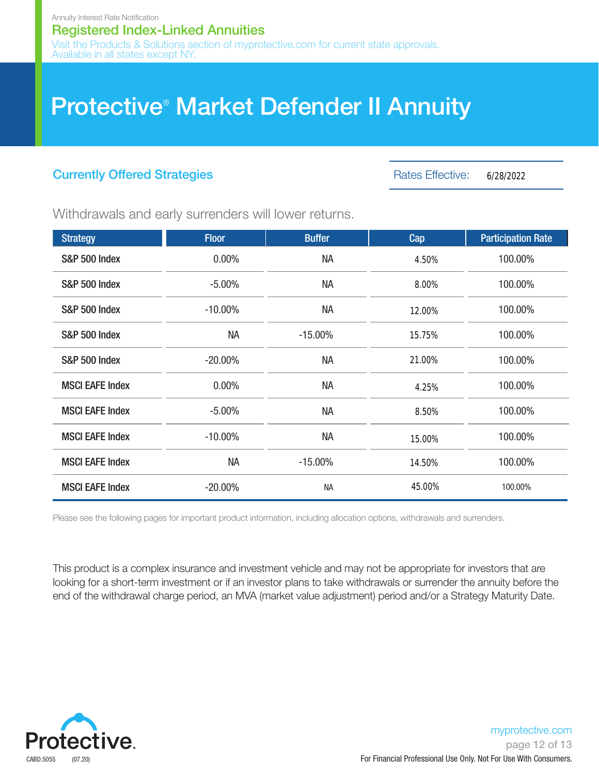## **Protective<sup>®</sup> Market Defender II Annuity**

## Currently Offered Strategies

Rates Effective: 6/28/2022

Withdrawals and early surrenders will lower returns.

| <b>Strategy</b>          | <b>Floor</b> | <b>Buffer</b> | Cap    | <b>Participation Rate</b> |
|--------------------------|--------------|---------------|--------|---------------------------|
| <b>S&amp;P 500 Index</b> | 0.00%        | <b>NA</b>     | 4.50%  | 100.00%                   |
| <b>S&amp;P 500 Index</b> | $-5.00%$     | <b>NA</b>     | 8.00%  | 100.00%                   |
| <b>S&amp;P 500 Index</b> | $-10.00\%$   | <b>NA</b>     | 12.00% | 100.00%                   |
| <b>S&amp;P 500 Index</b> | <b>NA</b>    | $-15.00\%$    | 15.75% | 100.00%                   |
| <b>S&amp;P 500 Index</b> | $-20.00\%$   | <b>NA</b>     | 21.00% | 100.00%                   |
| <b>MSCI EAFE Index</b>   | $0.00\%$     | <b>NA</b>     | 4.25%  | 100.00%                   |
| <b>MSCI EAFE Index</b>   | $-5.00%$     | <b>NA</b>     | 8.50%  | 100.00%                   |
| <b>MSCI EAFE Index</b>   | $-10.00\%$   | <b>NA</b>     | 15.00% | 100.00%                   |
| <b>MSCI EAFE Index</b>   | <b>NA</b>    | $-15.00\%$    | 14.50% | 100.00%                   |
| <b>MSCI EAFE Index</b>   | $-20.00\%$   | <b>NA</b>     | 45.00% | 100.00%                   |

Please see the following pages for important product information, including allocation options, withdrawals and surrenders.

This product is a complex insurance and investment vehicle and may not be appropriate for investors that are looking for a short-term investment or if an investor plans to take withdrawals or surrender the annuity before the end of the withdrawal charge period, an MVA (market value adjustment) period and/or a Strategy Maturity Date.